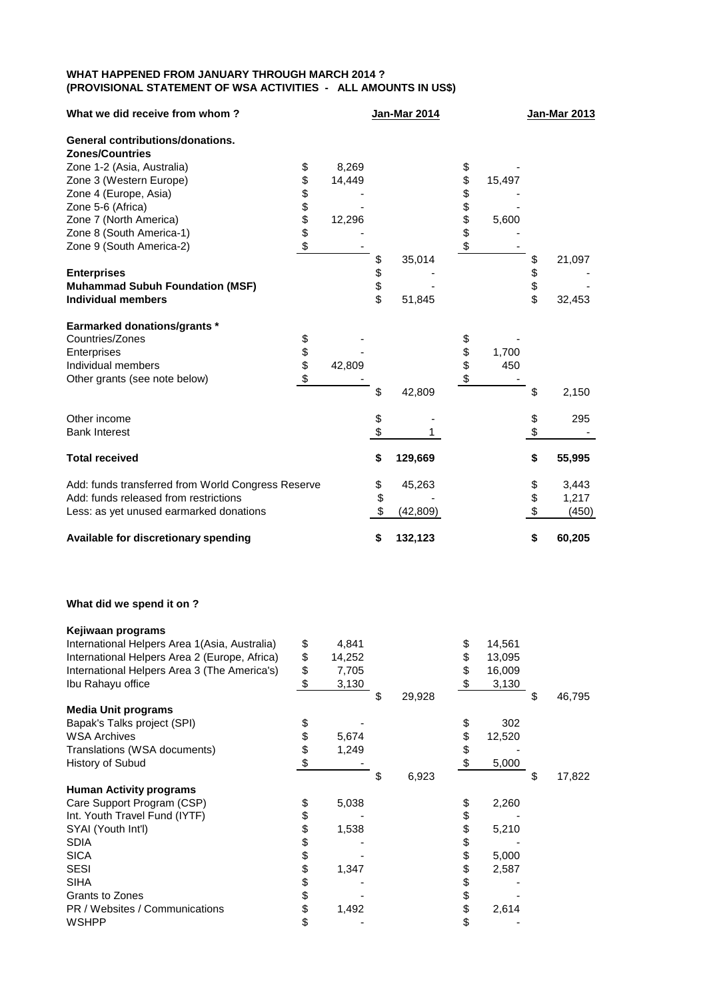## **WHAT HAPPENED FROM JANUARY THROUGH MARCH 2014 ? (PROVISIONAL STATEMENT OF WSA ACTIVITIES - ALL AMOUNTS IN US\$)**

| What we did receive from whom?                     |          |        | <b>Jan-Mar 2014</b>       |           |          |        |          | <b>Jan-Mar 2013</b> |  |  |
|----------------------------------------------------|----------|--------|---------------------------|-----------|----------|--------|----------|---------------------|--|--|
| <b>General contributions/donations.</b>            |          |        |                           |           |          |        |          |                     |  |  |
| <b>Zones/Countries</b>                             |          |        |                           |           |          |        |          |                     |  |  |
| Zone 1-2 (Asia, Australia)                         | \$       | 8,269  |                           |           | \$       |        |          |                     |  |  |
| Zone 3 (Western Europe)                            | \$       | 14,449 |                           |           | \$       | 15,497 |          |                     |  |  |
| Zone 4 (Europe, Asia)                              | \$       |        |                           |           | \$       |        |          |                     |  |  |
| Zone 5-6 (Africa)                                  | \$\$     |        |                           |           | \$\$\$\$ |        |          |                     |  |  |
| Zone 7 (North America)                             |          | 12,296 |                           |           |          | 5,600  |          |                     |  |  |
| Zone 8 (South America-1)                           |          |        |                           |           |          |        |          |                     |  |  |
| Zone 9 (South America-2)                           | \$       |        |                           |           |          |        |          |                     |  |  |
|                                                    |          |        | \$                        | 35,014    |          |        | \$       | 21,097              |  |  |
| <b>Enterprises</b>                                 |          |        |                           |           |          |        |          |                     |  |  |
| <b>Muhammad Subuh Foundation (MSF)</b>             |          |        | \$<br>\$                  |           |          |        | \$<br>\$ |                     |  |  |
| <b>Individual members</b>                          |          |        |                           | 51,845    |          |        |          | 32,453              |  |  |
| <b>Earmarked donations/grants *</b>                |          |        |                           |           |          |        |          |                     |  |  |
| Countries/Zones                                    |          |        |                           |           |          |        |          |                     |  |  |
| Enterprises                                        | \$<br>\$ |        |                           |           | \$<br>\$ | 1,700  |          |                     |  |  |
| Individual members                                 |          | 42,809 |                           |           |          | 450    |          |                     |  |  |
| Other grants (see note below)                      | \$       |        |                           |           |          |        |          |                     |  |  |
|                                                    |          |        | \$                        | 42,809    |          |        | \$       | 2,150               |  |  |
| Other income                                       |          |        | \$                        |           |          |        | \$       | 295                 |  |  |
| <b>Bank Interest</b>                               |          |        | $\boldsymbol{\mathsf{S}}$ |           |          |        | $\,$     |                     |  |  |
| <b>Total received</b>                              |          |        | \$                        | 129,669   |          |        | \$       | 55,995              |  |  |
| Add: funds transferred from World Congress Reserve |          |        | \$                        | 45,263    |          |        | \$       | 3,443               |  |  |
| Add: funds released from restrictions              |          |        | \$                        |           |          |        | \$       | 1,217               |  |  |
| Less: as yet unused earmarked donations            |          |        |                           | (42, 809) |          |        | \$       | (450)               |  |  |
| Available for discretionary spending               |          |        | \$                        | 132,123   |          |        | \$       | 60,205              |  |  |

## **What did we spend it on ?**

| Kejiwaan programs                             |              |    |        |    |        |    |        |
|-----------------------------------------------|--------------|----|--------|----|--------|----|--------|
| International Helpers Area 1(Asia, Australia) | \$<br>4,841  |    |        | \$ | 14,561 |    |        |
| International Helpers Area 2 (Europe, Africa) | \$<br>14,252 |    |        | \$ | 13,095 |    |        |
| International Helpers Area 3 (The America's)  | \$<br>7,705  |    |        | S  | 16,009 |    |        |
| Ibu Rahayu office                             | \$<br>3,130  |    |        |    | 3,130  |    |        |
|                                               |              | \$ | 29,928 |    |        | S  | 46,795 |
| <b>Media Unit programs</b>                    |              |    |        |    |        |    |        |
| Bapak's Talks project (SPI)                   | \$           |    |        | \$ | 302    |    |        |
| <b>WSA Archives</b>                           | \$<br>5,674  |    |        | \$ | 12,520 |    |        |
| Translations (WSA documents)                  | \$<br>1,249  |    |        | \$ |        |    |        |
| History of Subud                              | \$           |    |        | \$ | 5,000  |    |        |
|                                               |              | S  | 6,923  |    |        | \$ | 17,822 |
| <b>Human Activity programs</b>                |              |    |        |    |        |    |        |
| Care Support Program (CSP)                    | \$<br>5,038  |    |        | \$ | 2,260  |    |        |
| Int. Youth Travel Fund (IYTF)                 | \$           |    |        | \$ |        |    |        |
| SYAI (Youth Int'l)                            | \$<br>1,538  |    |        | \$ | 5,210  |    |        |
| <b>SDIA</b>                                   | \$           |    |        | \$ |        |    |        |
| <b>SICA</b>                                   | \$           |    |        | \$ | 5,000  |    |        |
| <b>SESI</b>                                   | \$<br>1,347  |    |        | \$ | 2,587  |    |        |
| <b>SIHA</b>                                   | \$           |    |        | \$ |        |    |        |
| Grants to Zones                               | \$           |    |        | \$ |        |    |        |
| PR / Websites / Communications                | \$<br>1,492  |    |        | \$ | 2,614  |    |        |
| <b>WSHPP</b>                                  | \$           |    |        | \$ |        |    |        |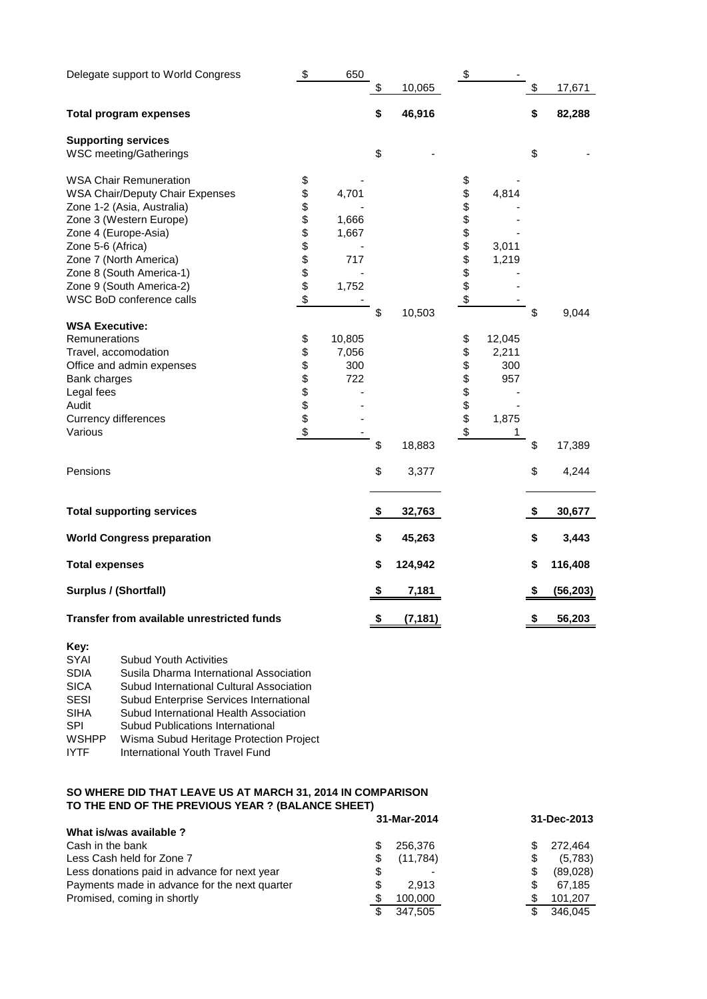| Delegate support to World Congress                   | \$             | 650    |                | \$             |        |                 |
|------------------------------------------------------|----------------|--------|----------------|----------------|--------|-----------------|
|                                                      |                |        | \$<br>10,065   |                |        | \$<br>17,671    |
| <b>Total program expenses</b>                        |                |        | \$<br>46,916   |                |        | \$<br>82,288    |
| <b>Supporting services</b><br>WSC meeting/Gatherings |                |        | \$             |                |        | \$              |
|                                                      |                |        |                |                |        |                 |
| <b>WSA Chair Remuneration</b>                        | \$             |        |                | \$             |        |                 |
| <b>WSA Chair/Deputy Chair Expenses</b>               | \$             | 4,701  |                | \$             | 4,814  |                 |
| Zone 1-2 (Asia, Australia)                           | \$             |        |                | \$             |        |                 |
| Zone 3 (Western Europe)                              | <b>8888888</b> | 1,666  |                | <b>8888888</b> |        |                 |
| Zone 4 (Europe-Asia)                                 |                | 1,667  |                |                |        |                 |
| Zone 5-6 (Africa)                                    |                |        |                |                | 3,011  |                 |
| Zone 7 (North America)                               |                | 717    |                |                | 1,219  |                 |
| Zone 8 (South America-1)                             |                |        |                |                |        |                 |
| Zone 9 (South America-2)                             |                | 1,752  |                |                |        |                 |
| WSC BoD conference calls                             |                |        |                |                |        |                 |
| <b>WSA Executive:</b>                                |                |        | \$<br>10,503   |                |        | \$<br>9,044     |
| Remunerations                                        | \$             | 10,805 |                | \$             | 12,045 |                 |
| Travel, accomodation                                 | \$             | 7,056  |                | \$             | 2,211  |                 |
| Office and admin expenses                            |                | 300    |                | \$             | 300    |                 |
| Bank charges                                         | \$\$\$\$       | 722    |                |                | 957    |                 |
| Legal fees                                           |                |        |                |                |        |                 |
| Audit                                                |                |        |                |                |        |                 |
| <b>Currency differences</b>                          |                |        |                |                | 1,875  |                 |
| Various                                              | \$             |        |                | \$\$\$\$\$     | 1      |                 |
|                                                      |                |        | \$<br>18,883   |                |        | \$<br>17,389    |
| Pensions                                             |                |        | \$<br>3,377    |                |        | \$<br>4,244     |
|                                                      |                |        |                |                |        |                 |
| <b>Total supporting services</b>                     |                |        | \$<br>32,763   |                |        | \$<br>30,677    |
| <b>World Congress preparation</b>                    |                |        | \$<br>45,263   |                |        | \$<br>3,443     |
| <b>Total expenses</b>                                |                |        | \$<br>124,942  |                |        | \$<br>116,408   |
| <b>Surplus / (Shortfall)</b>                         |                |        | \$<br>7,181    |                |        | \$<br>(56, 203) |
| Transfer from available unrestricted funds           |                |        | \$<br>(7, 181) |                |        | \$<br>56,203    |
|                                                      |                |        |                |                |        |                 |

## **Key:**

| SYAI         | <b>Subud Youth Activities</b>            |
|--------------|------------------------------------------|
| <b>SDIA</b>  | Susila Dharma International Association  |
| <b>SICA</b>  | Subud International Cultural Association |
| <b>SESI</b>  | Subud Enterprise Services International  |
| <b>SIHA</b>  | Subud International Health Association   |
| <b>SPI</b>   | <b>Subud Publications International</b>  |
| <b>WSHPP</b> | Wisma Subud Heritage Protection Project  |
| <b>IYTF</b>  | International Youth Travel Fund          |

## **SO WHERE DID THAT LEAVE US AT MARCH 31, 2014 IN COMPARISON TO THE END OF THE PREVIOUS YEAR ? (BALANCE SHEET)**

|                                               | 31-Mar-2014   | 31-Dec-2013   |  |  |
|-----------------------------------------------|---------------|---------------|--|--|
| What is/was available ?                       |               |               |  |  |
| Cash in the bank                              | 256,376       | 272.464       |  |  |
| Less Cash held for Zone 7                     | (11,784)<br>S | (5,783)<br>S  |  |  |
| Less donations paid in advance for next year  | \$            | (89,028)<br>S |  |  |
| Payments made in advance for the next quarter | \$<br>2.913   | S<br>67.185   |  |  |
| Promised, coming in shortly                   | 100.000<br>£. | 101,207       |  |  |
|                                               | 347.505<br>S  | 346.045       |  |  |